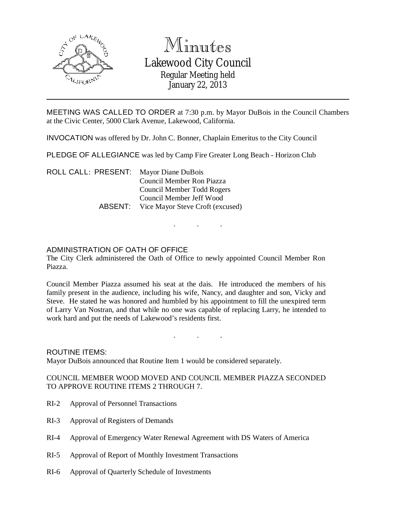

# Minutes Lakewood City Council Regular Meeting held January 22, 2013

MEETING WAS CALLED TO ORDER at 7:30 p.m. by Mayor DuBois in the Council Chambers at the Civic Center, 5000 Clark Avenue, Lakewood, California.

INVOCATION was offered by Dr. John C. Bonner, Chaplain Emeritus to the City Council

PLEDGE OF ALLEGIANCE was led by Camp Fire Greater Long Beach - Horizon Club

ROLL CALL: PRESENT: Mayor Diane DuBois Council Member Ron Piazza Council Member Todd Rogers Council Member Jeff Wood ABSENT: Vice Mayor Steve Croft (excused)

# ADMINISTRATION OF OATH OF OFFICE

The City Clerk administered the Oath of Office to newly appointed Council Member Ron Piazza.

. . .

Council Member Piazza assumed his seat at the dais. He introduced the members of his family present in the audience, including his wife, Nancy, and daughter and son, Vicky and Steve. He stated he was honored and humbled by his appointment to fill the unexpired term of Larry Van Nostran, and that while no one was capable of replacing Larry, he intended to work hard and put the needs of Lakewood's residents first.

. . .

# ROUTINE ITEMS:

Mayor DuBois announced that Routine Item 1 would be considered separately.

## COUNCIL MEMBER WOOD MOVED AND COUNCIL MEMBER PIAZZA SECONDED TO APPROVE ROUTINE ITEMS 2 THROUGH 7.

- RI-2 Approval of Personnel Transactions
- RI-3 Approval of Registers of Demands
- RI-4 Approval of Emergency Water Renewal Agreement with DS Waters of America
- RI-5 Approval of Report of Monthly Investment Transactions
- RI-6 Approval of Quarterly Schedule of Investments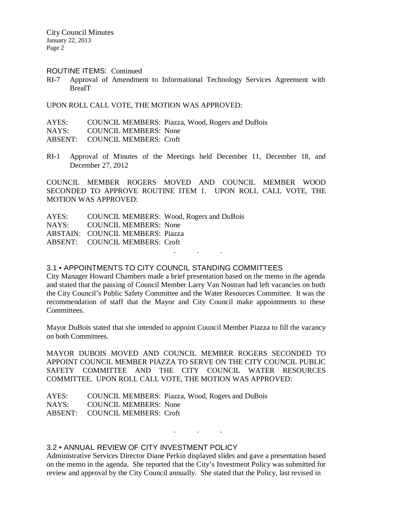City Council Minutes January 22, 2013 Page 2

#### ROUTINE ITEMS: Continued

RI-7 Approval of Amendment to Informational Technology Services Agreement with BreaIT

UPON ROLL CALL VOTE, THE MOTION WAS APPROVED:

AYES: COUNCIL MEMBERS: Piazza, Wood, Rogers and DuBois NAYS: COUNCIL MEMBERS: None ABSENT: COUNCIL MEMBERS: Croft

RI-1 Approval of Minutes of the Meetings held December 11, December 18, and December 27, 2012

COUNCIL MEMBER ROGERS MOVED AND COUNCIL MEMBER WOOD SECONDED TO APPROVE ROUTINE ITEM 1. UPON ROLL CALL VOTE, THE MOTION WAS APPROVED:

AYES: COUNCIL MEMBERS: Wood, Rogers and DuBois NAYS: COUNCIL MEMBERS: None ABSTAIN: COUNCIL MEMBERS: Piazza ABSENT: COUNCIL MEMBERS: Croft

## 3.1 • APPOINTMENTS TO CITY COUNCIL STANDING COMMITTEES

City Manager Howard Chambers made a brief presentation based on the memo in the agenda and stated that the passing of Council Member Larry Van Nostran had left vacancies on both the City Council's Public Safety Committee and the Water Resources Committee. It was the recommendation of staff that the Mayor and City Council make appointments to these Committees.

. . .

Mayor DuBois stated that she intended to appoint Council Member Piazza to fill the vacancy on both Committees.

MAYOR DUBOIS MOVED AND COUNCIL MEMBER ROGERS SECONDED TO APPOINT COUNCIL MEMBER PIAZZA TO SERVE ON THE CITY COUNCIL PUBLIC SAFETY COMMITTEE AND THE CITY COUNCIL WATER RESOURCES COMMITTEE. UPON ROLL CALL VOTE, THE MOTION WAS APPROVED:

AYES: COUNCIL MEMBERS: Piazza, Wood, Rogers and DuBois NAYS: COUNCIL MEMBERS: None ABSENT: COUNCIL MEMBERS: Croft

### 3.2 • ANNUAL REVIEW OF CITY INVESTMENT POLICY

Administrative Services Director Diane Perkin displayed slides and gave a presentation based on the memo in the agenda. She reported that the City's Investment Policy was submitted for review and approval by the City Council annually. She stated that the Policy, last revised in

. . .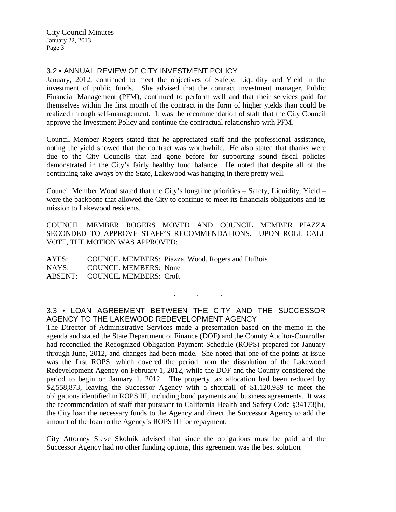City Council Minutes January 22, 2013 Page 3

## 3.2 • ANNUAL REVIEW OF CITY INVESTMENT POLICY

January, 2012, continued to meet the objectives of Safety, Liquidity and Yield in the investment of public funds. She advised that the contract investment manager, Public Financial Management (PFM), continued to perform well and that their services paid for themselves within the first month of the contract in the form of higher yields than could be realized through self-management. It was the recommendation of staff that the City Council approve the Investment Policy and continue the contractual relationship with PFM.

Council Member Rogers stated that he appreciated staff and the professional assistance, noting the yield showed that the contract was worthwhile. He also stated that thanks were due to the City Councils that had gone before for supporting sound fiscal policies demonstrated in the City's fairly healthy fund balance. He noted that despite all of the continuing take-aways by the State, Lakewood was hanging in there pretty well.

Council Member Wood stated that the City's longtime priorities – Safety, Liquidity, Yield – were the backbone that allowed the City to continue to meet its financials obligations and its mission to Lakewood residents.

COUNCIL MEMBER ROGERS MOVED AND COUNCIL MEMBER PIAZZA SECONDED TO APPROVE STAFF'S RECOMMENDATIONS. UPON ROLL CALL VOTE, THE MOTION WAS APPROVED:

AYES: COUNCIL MEMBERS: Piazza, Wood, Rogers and DuBois NAYS: COUNCIL MEMBERS: None ABSENT: COUNCIL MEMBERS: Croft

3.3 • LOAN AGREEMENT BETWEEN THE CITY AND THE SUCCESSOR AGENCY TO THE LAKEWOOD REDEVELOPMENT AGENCY

. . .

The Director of Administrative Services made a presentation based on the memo in the agenda and stated the State Department of Finance (DOF) and the County Auditor-Controller had reconciled the Recognized Obligation Payment Schedule (ROPS) prepared for January through June, 2012, and changes had been made. She noted that one of the points at issue was the first ROPS, which covered the period from the dissolution of the Lakewood Redevelopment Agency on February 1, 2012, while the DOF and the County considered the period to begin on January 1, 2012. The property tax allocation had been reduced by \$2,558,873, leaving the Successor Agency with a shortfall of \$1,120,989 to meet the obligations identified in ROPS III, including bond payments and business agreements. It was the recommendation of staff that pursuant to California Health and Safety Code §34173(h), the City loan the necessary funds to the Agency and direct the Successor Agency to add the amount of the loan to the Agency's ROPS III for repayment.

City Attorney Steve Skolnik advised that since the obligations must be paid and the Successor Agency had no other funding options, this agreement was the best solution.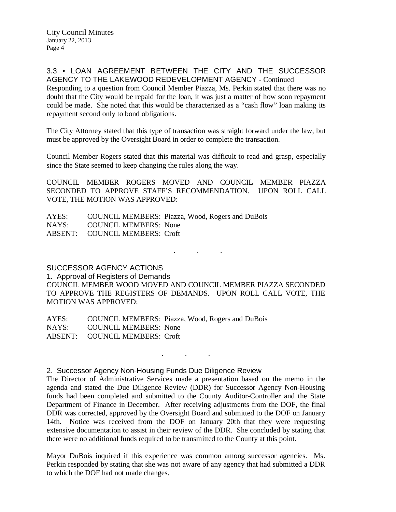# 3.3 • LOAN AGREEMENT BETWEEN THE CITY AND THE SUCCESSOR AGENCY TO THE LAKEWOOD REDEVELOPMENT AGENCY - Continued

Responding to a question from Council Member Piazza, Ms. Perkin stated that there was no doubt that the City would be repaid for the loan, it was just a matter of how soon repayment could be made. She noted that this would be characterized as a "cash flow" loan making its repayment second only to bond obligations.

The City Attorney stated that this type of transaction was straight forward under the law, but must be approved by the Oversight Board in order to complete the transaction.

Council Member Rogers stated that this material was difficult to read and grasp, especially since the State seemed to keep changing the rules along the way.

COUNCIL MEMBER ROGERS MOVED AND COUNCIL MEMBER PIAZZA SECONDED TO APPROVE STAFF'S RECOMMENDATION. UPON ROLL CALL VOTE, THE MOTION WAS APPROVED:

AYES: COUNCIL MEMBERS: Piazza, Wood, Rogers and DuBois NAYS: COUNCIL MEMBERS: None ABSENT: COUNCIL MEMBERS: Croft

SUCCESSOR AGENCY ACTIONS

1. Approval of Registers of Demands COUNCIL MEMBER WOOD MOVED AND COUNCIL MEMBER PIAZZA SECONDED TO APPROVE THE REGISTERS OF DEMANDS. UPON ROLL CALL VOTE, THE MOTION WAS APPROVED:

. . .

AYES: COUNCIL MEMBERS: Piazza, Wood, Rogers and DuBois NAYS: COUNCIL MEMBERS: None ABSENT: COUNCIL MEMBERS: Croft

2. Successor Agency Non-Housing Funds Due Diligence Review

The Director of Administrative Services made a presentation based on the memo in the agenda and stated the Due Diligence Review (DDR) for Successor Agency Non-Housing funds had been completed and submitted to the County Auditor-Controller and the State Department of Finance in December. After receiving adjustments from the DOF, the final DDR was corrected, approved by the Oversight Board and submitted to the DOF on January 14th. Notice was received from the DOF on January 20th that they were requesting extensive documentation to assist in their review of the DDR. She concluded by stating that there were no additional funds required to be transmitted to the County at this point.

. . .

Mayor DuBois inquired if this experience was common among successor agencies. Ms. Perkin responded by stating that she was not aware of any agency that had submitted a DDR to which the DOF had not made changes.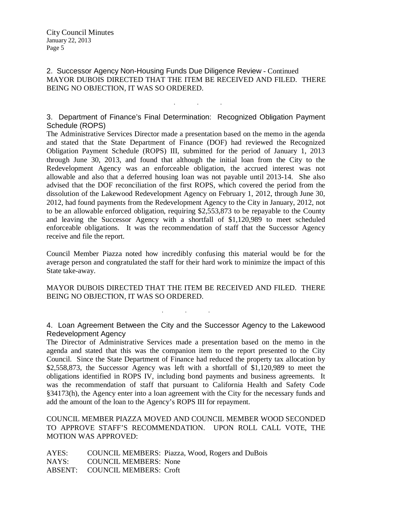2. Successor Agency Non-Housing Funds Due Diligence Review - Continued MAYOR DUBOIS DIRECTED THAT THE ITEM BE RECEIVED AND FILED. THERE BEING NO OBJECTION, IT WAS SO ORDERED.

3. Department of Finance's Final Determination: Recognized Obligation Payment Schedule (ROPS)

. . .

The Administrative Services Director made a presentation based on the memo in the agenda and stated that the State Department of Finance (DOF) had reviewed the Recognized Obligation Payment Schedule (ROPS) III, submitted for the period of January 1, 2013 through June 30, 2013, and found that although the initial loan from the City to the Redevelopment Agency was an enforceable obligation, the accrued interest was not allowable and also that a deferred housing loan was not payable until 2013-14. She also advised that the DOF reconciliation of the first ROPS, which covered the period from the dissolution of the Lakewood Redevelopment Agency on February 1, 2012, through June 30, 2012, had found payments from the Redevelopment Agency to the City in January, 2012, not to be an allowable enforced obligation, requiring \$2,553,873 to be repayable to the County and leaving the Successor Agency with a shortfall of \$1,120,989 to meet scheduled enforceable obligations. It was the recommendation of staff that the Successor Agency receive and file the report.

Council Member Piazza noted how incredibly confusing this material would be for the average person and congratulated the staff for their hard work to minimize the impact of this State take-away.

MAYOR DUBOIS DIRECTED THAT THE ITEM BE RECEIVED AND FILED. THERE BEING NO OBJECTION, IT WAS SO ORDERED.

. . .

4. Loan Agreement Between the City and the Successor Agency to the Lakewood Redevelopment Agency

The Director of Administrative Services made a presentation based on the memo in the agenda and stated that this was the companion item to the report presented to the City Council. Since the State Department of Finance had reduced the property tax allocation by \$2,558,873, the Successor Agency was left with a shortfall of \$1,120,989 to meet the obligations identified in ROPS IV, including bond payments and business agreements. It was the recommendation of staff that pursuant to California Health and Safety Code §34173(h), the Agency enter into a loan agreement with the City for the necessary funds and add the amount of the loan to the Agency's ROPS III for repayment.

COUNCIL MEMBER PIAZZA MOVED AND COUNCIL MEMBER WOOD SECONDED TO APPROVE STAFF'S RECOMMENDATION. UPON ROLL CALL VOTE, THE MOTION WAS APPROVED:

AYES: COUNCIL MEMBERS: Piazza, Wood, Rogers and DuBois NAYS: COUNCIL MEMBERS: None ABSENT: COUNCIL MEMBERS: Croft